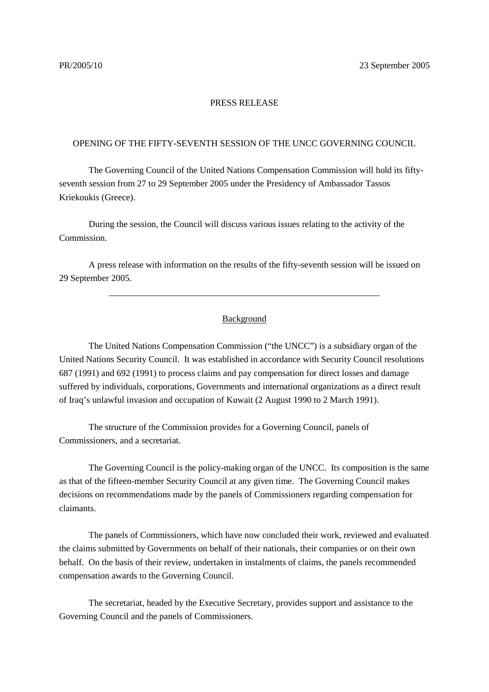## PRESS RELEASE

## OPENING OF THE FIFTY-SEVENTH SESSION OF THE UNCC GOVERNING COUNCIL

The Governing Council of the United Nations Compensation Commission will hold its fiftyseventh session from 27 to 29 September 2005 under the Presidency of Ambassador Tassos Kriekoukis (Greece).

During the session, the Council will discuss various issues relating to the activity of the Commission.

A press release with information on the results of the fifty-seventh session will be issued on 29 September 2005.

## Background

\_\_\_\_\_\_\_\_\_\_\_\_\_\_\_\_\_\_\_\_\_\_\_\_\_\_\_\_\_\_\_\_\_\_\_\_\_\_\_\_\_\_\_\_\_\_\_\_\_\_\_\_\_\_\_\_\_\_\_\_

The United Nations Compensation Commission ("the UNCC") is a subsidiary organ of the United Nations Security Council. It was established in accordance with Security Council resolutions 687 (1991) and 692 (1991) to process claims and pay compensation for direct losses and damage suffered by individuals, corporations, Governments and international organizations as a direct result of Iraq's unlawful invasion and occupation of Kuwait (2 August 1990 to 2 March 1991).

The structure of the Commission provides for a Governing Council, panels of Commissioners, and a secretariat.

The Governing Council is the policy-making organ of the UNCC. Its composition is the same as that of the fifteen-member Security Council at any given time. The Governing Council makes decisions on recommendations made by the panels of Commissioners regarding compensation for claimants.

The panels of Commissioners, which have now concluded their work, reviewed and evaluated the claims submitted by Governments on behalf of their nationals, their companies or on their own behalf. On the basis of their review, undertaken in instalments of claims, the panels recommended compensation awards to the Governing Council.

The secretariat, headed by the Executive Secretary, provides support and assistance to the Governing Council and the panels of Commissioners.